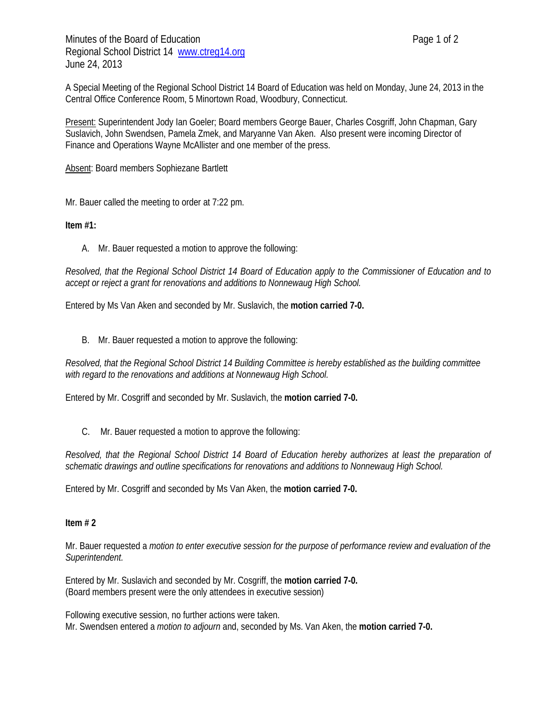Minutes of the Board of Education **Page 1 of 2** and 2 Regional School District 14 www.ctreg14.org June 24, 2013

A Special Meeting of the Regional School District 14 Board of Education was held on Monday, June 24, 2013 in the Central Office Conference Room, 5 Minortown Road, Woodbury, Connecticut.

Present: Superintendent Jody Ian Goeler; Board members George Bauer, Charles Cosgriff, John Chapman, Gary Suslavich, John Swendsen, Pamela Zmek, and Maryanne Van Aken. Also present were incoming Director of Finance and Operations Wayne McAllister and one member of the press.

Absent: Board members Sophiezane Bartlett

Mr. Bauer called the meeting to order at 7:22 pm.

**Item #1:** 

A. Mr. Bauer requested a motion to approve the following:

*Resolved, that the Regional School District 14 Board of Education apply to the Commissioner of Education and to accept or reject a grant for renovations and additions to Nonnewaug High School.* 

Entered by Ms Van Aken and seconded by Mr. Suslavich, the **motion carried 7-0.**

B. Mr. Bauer requested a motion to approve the following:

*Resolved, that the Regional School District 14 Building Committee is hereby established as the building committee with regard to the renovations and additions at Nonnewaug High School.* 

Entered by Mr. Cosgriff and seconded by Mr. Suslavich, the **motion carried 7-0.** 

C. Mr. Bauer requested a motion to approve the following:

*Resolved, that the Regional School District 14 Board of Education hereby authorizes at least the preparation of schematic drawings and outline specifications for renovations and additions to Nonnewaug High School.* 

Entered by Mr. Cosgriff and seconded by Ms Van Aken, the **motion carried 7-0.** 

## **Item # 2**

Mr. Bauer requested a *motion to enter executive session for the purpose of performance review and evaluation of the Superintendent.* 

Entered by Mr. Suslavich and seconded by Mr. Cosgriff, the **motion carried 7-0.** (Board members present were the only attendees in executive session)

Following executive session, no further actions were taken. Mr. Swendsen entered a *motion to adjourn* and, seconded by Ms. Van Aken, the **motion carried 7-0.**